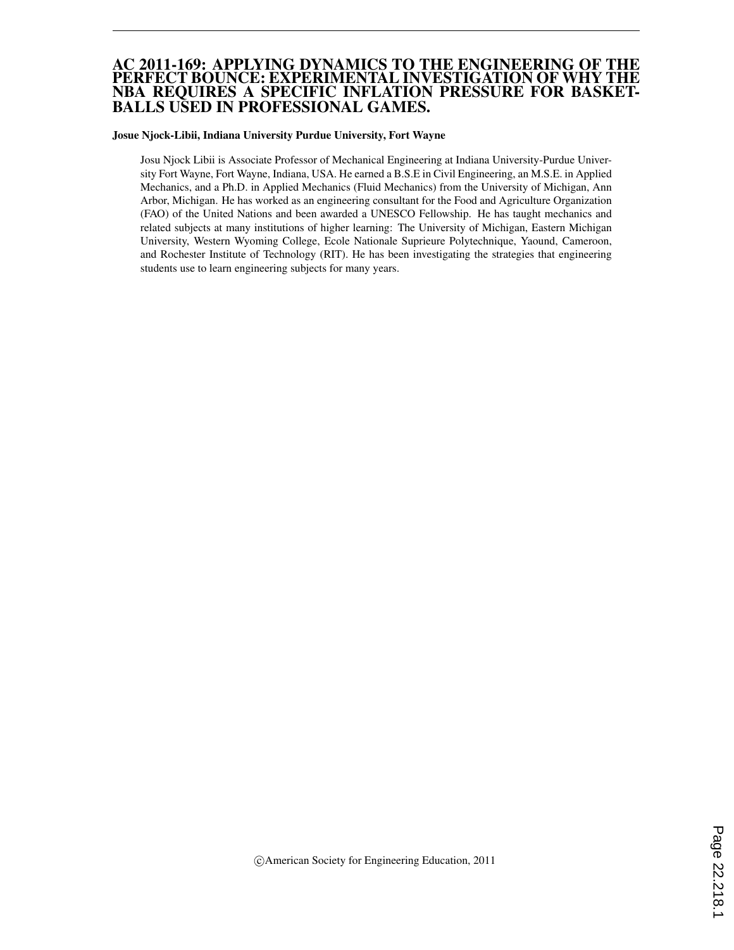#### AC 2011-169: APPLYING DYNAMICS TO THE ENGINEERING OF THE PERFECT BOUNCE: EXPERIMENTAL INVESTIGATION OF WHY THE NBA REQUIRES A SPECIFIC INFLATION PRESSURE FOR BASKET-BALLS USED IN PROFESSIONAL GAMES.

#### Josue Njock-Libii, Indiana University Purdue University, Fort Wayne

Josu Njock Libii is Associate Professor of Mechanical Engineering at Indiana University-Purdue University Fort Wayne, Fort Wayne, Indiana, USA. He earned a B.S.E in Civil Engineering, an M.S.E. in Applied Mechanics, and a Ph.D. in Applied Mechanics (Fluid Mechanics) from the University of Michigan, Ann Arbor, Michigan. He has worked as an engineering consultant for the Food and Agriculture Organization (FAO) of the United Nations and been awarded a UNESCO Fellowship. He has taught mechanics and related subjects at many institutions of higher learning: The University of Michigan, Eastern Michigan University, Western Wyoming College, Ecole Nationale Suprieure Polytechnique, Yaound, Cameroon, and Rochester Institute of Technology (RIT). He has been investigating the strategies that engineering students use to learn engineering subjects for many years.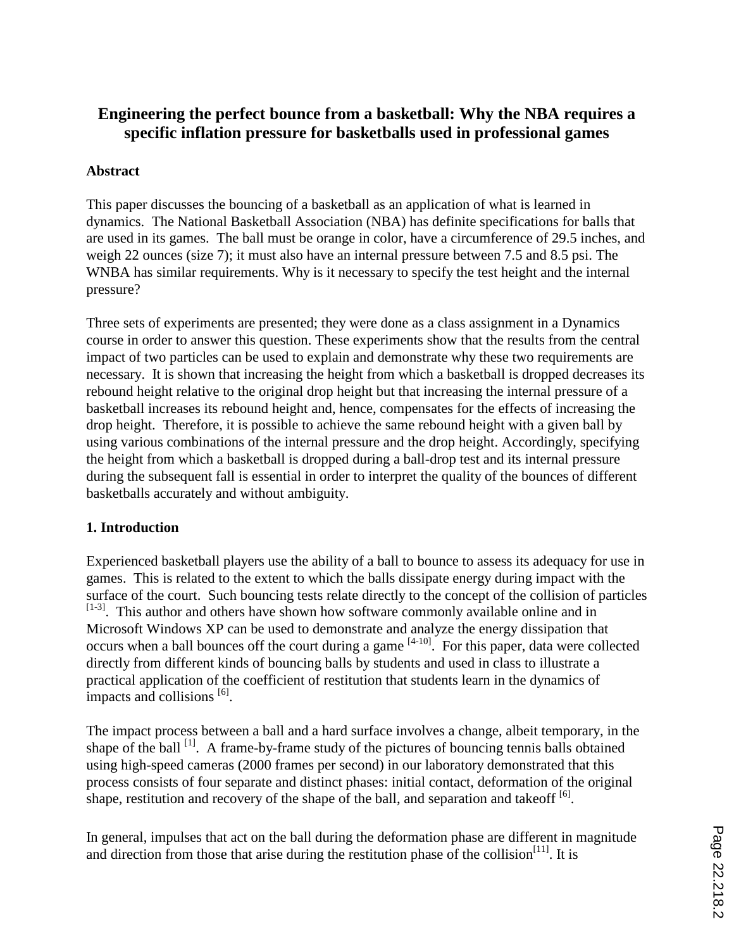# **Engineering the perfect bounce from a basketball: Why the NBA requires a specific inflation pressure for basketballs used in professional games**

## **Abstract**

This paper discusses the bouncing of a basketball as an application of what is learned in dynamics. The National Basketball Association (NBA) has definite specifications for balls that are used in its games. The ball must be orange in color, have a circumference of 29.5 inches, and weigh 22 ounces (size 7); it must also have an internal pressure between 7.5 and 8.5 psi. The WNBA has similar requirements. Why is it necessary to specify the test height and the internal pressure?

Three sets of experiments are presented; they were done as a class assignment in a Dynamics course in order to answer this question. These experiments show that the results from the central impact of two particles can be used to explain and demonstrate why these two requirements are necessary. It is shown that increasing the height from which a basketball is dropped decreases its rebound height relative to the original drop height but that increasing the internal pressure of a basketball increases its rebound height and, hence, compensates for the effects of increasing the drop height. Therefore, it is possible to achieve the same rebound height with a given ball by using various combinations of the internal pressure and the drop height. Accordingly, specifying the height from which a basketball is dropped during a ball-drop test and its internal pressure during the subsequent fall is essential in order to interpret the quality of the bounces of different basketballs accurately and without ambiguity.

## **1. Introduction**

Experienced basketball players use the ability of a ball to bounce to assess its adequacy for use in games. This is related to the extent to which the balls dissipate energy during impact with the surface of the court. Such bouncing tests relate directly to the concept of the collision of particles  $[1-3]$ . This author and others have shown how software commonly available online and in Microsoft Windows XP can be used to demonstrate and analyze the energy dissipation that occurs when a ball bounces off the court during a game <sup>[4-10]</sup>. For this paper, data were collected directly from different kinds of bouncing balls by students and used in class to illustrate a practical application of the coefficient of restitution that students learn in the dynamics of impacts and collisions <sup>[6]</sup>.

The impact process between a ball and a hard surface involves a change, albeit temporary, in the shape of the ball <sup>[1]</sup>. A frame-by-frame study of the pictures of bouncing tennis balls obtained using high-speed cameras (2000 frames per second) in our laboratory demonstrated that this process consists of four separate and distinct phases: initial contact, deformation of the original shape, restitution and recovery of the shape of the ball, and separation and takeoff  $[6]$ .

In general, impulses that act on the ball during the deformation phase are different in magnitude and direction from those that arise during the restitution phase of the collision<sup>[11]</sup>. It is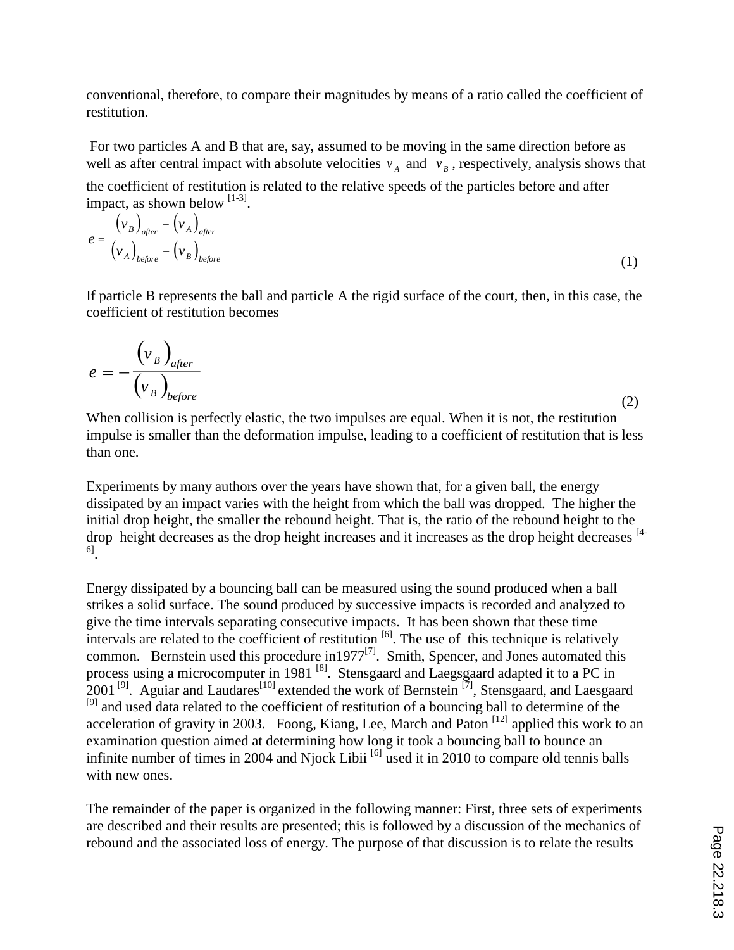conventional, therefore, to compare their magnitudes by means of a ratio called the coefficient of restitution.

For two particles A and B that are, say, assumed to be moving in the same direction before as well as after central impact with absolute velocities  $v_A$  and  $v_B$ , respectively, analysis shows that the coefficient of restitution is related to the relative speeds of the particles before and after impact, as shown below  $[1-3]$ .

$$
e = \frac{(\nu_B)_{after} - (\nu_A)_{after}}{(\nu_A)_{before} - (\nu_B)_{before}}
$$
 (1)

If particle B represents the ball and particle A the rigid surface of the court, then, in this case, the coefficient of restitution becomes

$$
e = -\frac{\left(v_B\right)_{after}}{\left(v_B\right)_{before}}
$$
 (2)

When collision is perfectly elastic, the two impulses are equal. When it is not, the restitution impulse is smaller than the deformation impulse, leading to a coefficient of restitution that is less than one.

Experiments by many authors over the years have shown that, for a given ball, the energy dissipated by an impact varies with the height from which the ball was dropped. The higher the initial drop height, the smaller the rebound height. That is, the ratio of the rebound height to the drop height decreases as the drop height increases and it increases as the drop height decreases [4-6] .

Energy dissipated by a bouncing ball can be measured using the sound produced when a ball strikes a solid surface. The sound produced by successive impacts is recorded and analyzed to give the time intervals separating consecutive impacts. It has been shown that these time intervals are related to the coefficient of restitution  $\left[6\right]$ . The use of this technique is relatively common. Bernstein used this procedure in 1977<sup>[7]</sup>. Smith, Spencer, and Jones automated this process using a microcomputer in 1981<sup>[8]</sup>. Stensgaard and Laegsgaard adapted it to a PC in  $2001^{[9]}$ . Aguiar and Laudares<sup>[10]</sup> extended the work of Bernstein<sup>[7]</sup>, Stensgaard, and Laesgaard <sup>[9]</sup> and used data related to the coefficient of restitution of a bouncing ball to determine of the acceleration of gravity in 2003. Foong, Kiang, Lee, March and Paton [12] applied this work to an examination question aimed at determining how long it took a bouncing ball to bounce an infinite number of times in 2004 and Njock Libii<sup>[6]</sup> used it in 2010 to compare old tennis balls with new ones.

The remainder of the paper is organized in the following manner: First, three sets of experiments are described and their results are presented; this is followed by a discussion of the mechanics of rebound and the associated loss of energy. The purpose of that discussion is to relate the results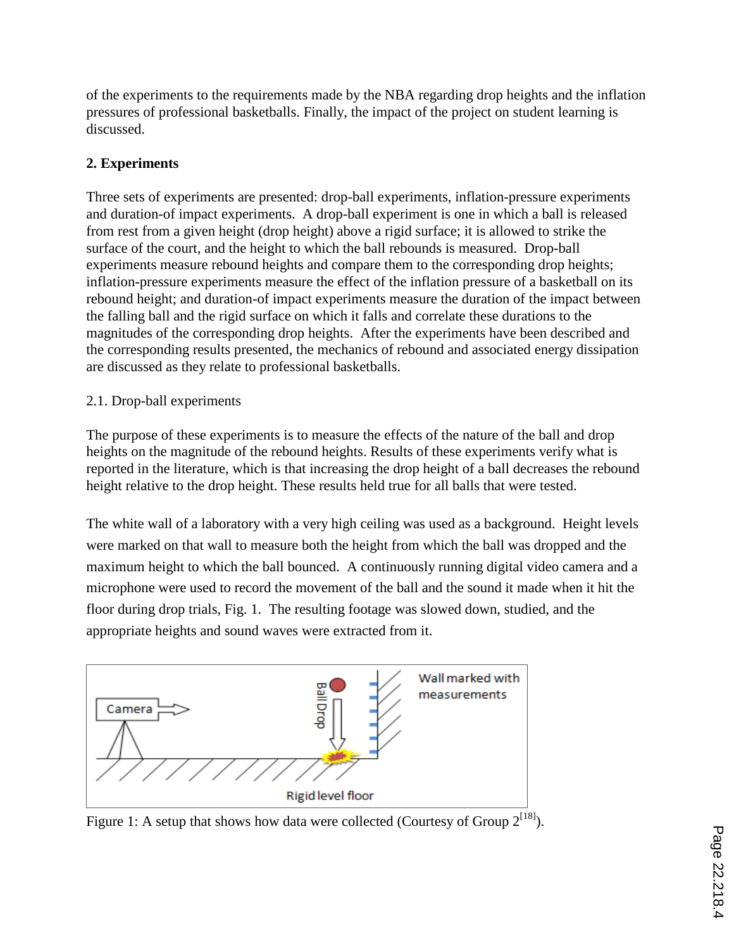of the experiments to the requirements made by the NBA regarding drop heights and the inflation pressures of professional basketballs. Finally, the impact of the project on student learning is discussed.

# **2. Experiments**

Three sets of experiments are presented: drop-ball experiments, inflation-pressure experiments and duration-of impact experiments. A drop-ball experiment is one in which a ball is released from rest from a given height (drop height) above a rigid surface; it is allowed to strike the surface of the court, and the height to which the ball rebounds is measured. Drop-ball experiments measure rebound heights and compare them to the corresponding drop heights; inflation-pressure experiments measure the effect of the inflation pressure of a basketball on its rebound height; and duration-of impact experiments measure the duration of the impact between the falling ball and the rigid surface on which it falls and correlate these durations to the magnitudes of the corresponding drop heights. After the experiments have been described and the corresponding results presented, the mechanics of rebound and associated energy dissipation are discussed as they relate to professional basketballs.

## 2.1. Drop-ball experiments

The purpose of these experiments is to measure the effects of the nature of the ball and drop heights on the magnitude of the rebound heights. Results of these experiments verify what is reported in the literature, which is that increasing the drop height of a ball decreases the rebound height relative to the drop height. These results held true for all balls that were tested.

The white wall of a laboratory with a very high ceiling was used as a background. Height levels were marked on that wall to measure both the height from which the ball was dropped and the maximum height to which the ball bounced. A continuously running digital video camera and a microphone were used to record the movement of the ball and the sound it made when it hit the floor during drop trials, Fig. 1. The resulting footage was slowed down, studied, and the appropriate heights and sound waves were extracted from it.



Figure 1: A setup that shows how data were collected (Courtesy of Group  $2^{18}$ ).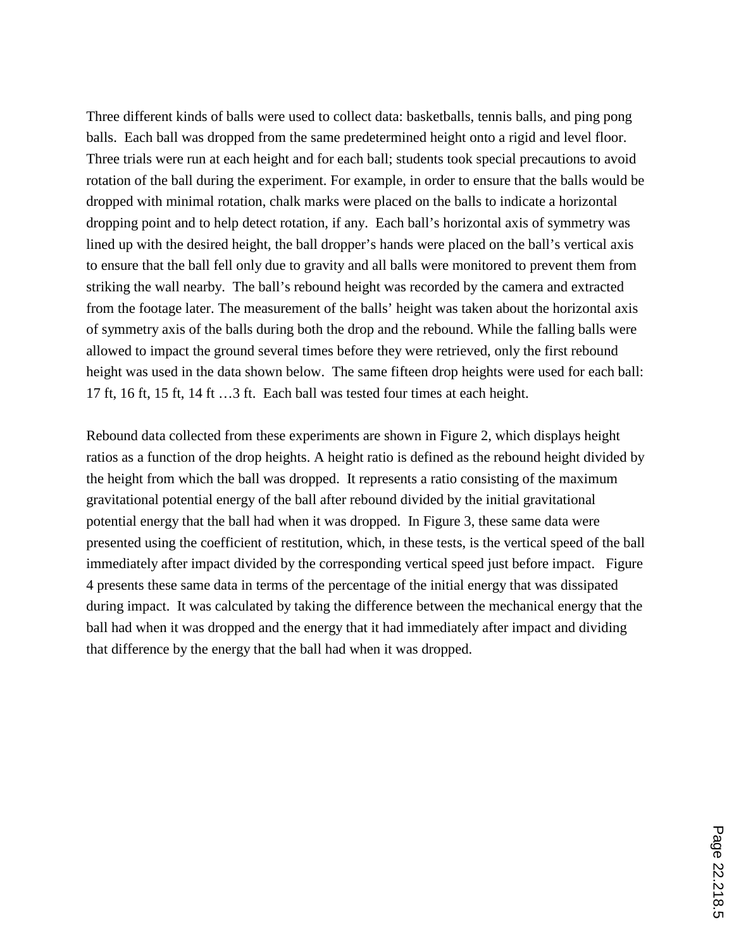Three different kinds of balls were used to collect data: basketballs, tennis balls, and ping pong balls. Each ball was dropped from the same predetermined height onto a rigid and level floor. Three trials were run at each height and for each ball; students took special precautions to avoid rotation of the ball during the experiment. For example, in order to ensure that the balls would be dropped with minimal rotation, chalk marks were placed on the balls to indicate a horizontal dropping point and to help detect rotation, if any. Each ball's horizontal axis of symmetry was lined up with the desired height, the ball dropper's hands were placed on the ball's vertical axis to ensure that the ball fell only due to gravity and all balls were monitored to prevent them from striking the wall nearby. The ball's rebound height was recorded by the camera and extracted from the footage later. The measurement of the balls' height was taken about the horizontal axis of symmetry axis of the balls during both the drop and the rebound. While the falling balls were allowed to impact the ground several times before they were retrieved, only the first rebound height was used in the data shown below. The same fifteen drop heights were used for each ball: 17 ft, 16 ft, 15 ft, 14 ft …3 ft. Each ball was tested four times at each height.

Rebound data collected from these experiments are shown in Figure 2, which displays height ratios as a function of the drop heights. A height ratio is defined as the rebound height divided by the height from which the ball was dropped. It represents a ratio consisting of the maximum gravitational potential energy of the ball after rebound divided by the initial gravitational potential energy that the ball had when it was dropped. In Figure 3, these same data were presented using the coefficient of restitution, which, in these tests, is the vertical speed of the ball immediately after impact divided by the corresponding vertical speed just before impact. Figure 4 presents these same data in terms of the percentage of the initial energy that was dissipated during impact. It was calculated by taking the difference between the mechanical energy that the ball had when it was dropped and the energy that it had immediately after impact and dividing that difference by the energy that the ball had when it was dropped.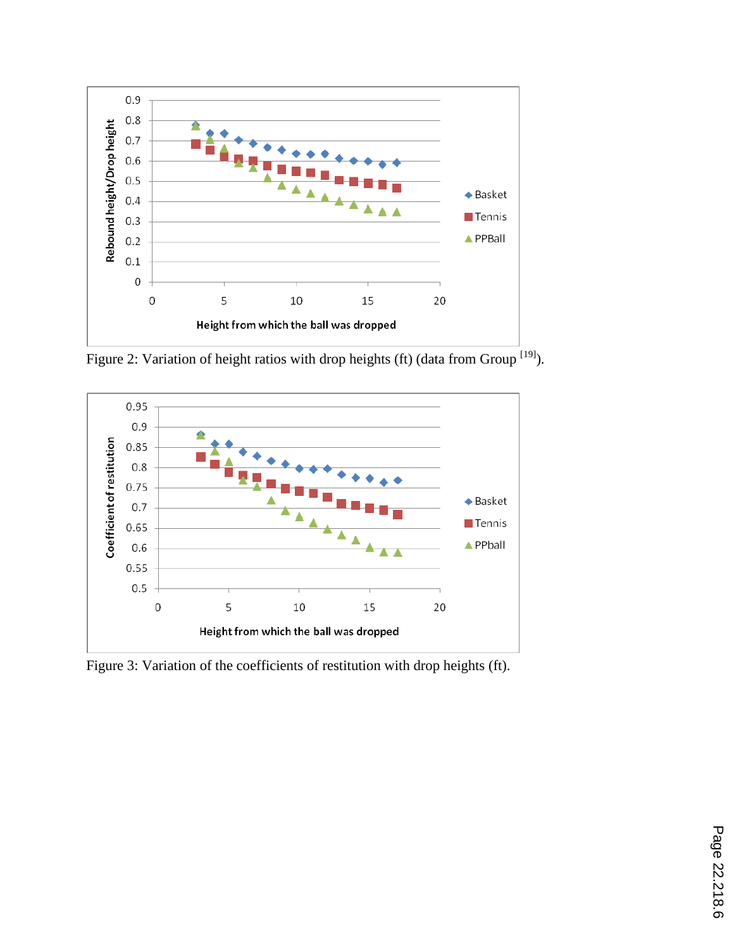

Figure 2: Variation of height ratios with drop heights (ft) (data from Group <sup>[19]</sup>).



Figure 3: Variation of the coefficients of restitution with drop heights (ft).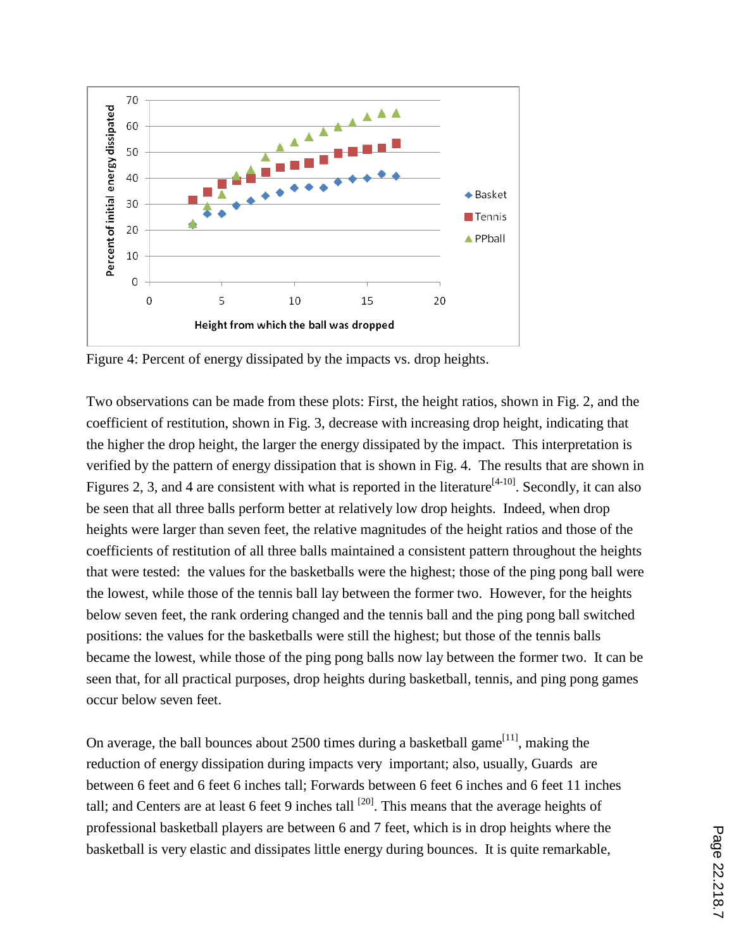

Figure 4: Percent of energy dissipated by the impacts vs. drop heights.

Two observations can be made from these plots: First, the height ratios, shown in Fig. 2, and the coefficient of restitution, shown in Fig. 3, decrease with increasing drop height, indicating that the higher the drop height, the larger the energy dissipated by the impact. This interpretation is verified by the pattern of energy dissipation that is shown in Fig. 4. The results that are shown in Figures 2, 3, and 4 are consistent with what is reported in the literature<sup>[4-10]</sup>. Secondly, it can also be seen that all three balls perform better at relatively low drop heights. Indeed, when drop heights were larger than seven feet, the relative magnitudes of the height ratios and those of the coefficients of restitution of all three balls maintained a consistent pattern throughout the heights that were tested: the values for the basketballs were the highest; those of the ping pong ball were the lowest, while those of the tennis ball lay between the former two. However, for the heights below seven feet, the rank ordering changed and the tennis ball and the ping pong ball switched positions: the values for the basketballs were still the highest; but those of the tennis balls became the lowest, while those of the ping pong balls now lay between the former two. It can be seen that, for all practical purposes, drop heights during basketball, tennis, and ping pong games occur below seven feet.

On average, the ball bounces about 2500 times during a basketball game<sup>[11]</sup>, making the reduction of energy dissipation during impacts very important; also, usually, Guards are between 6 feet and 6 feet 6 inches tall; Forwards between 6 feet 6 inches and 6 feet 11 inches tall; and Centers are at least 6 feet 9 inches tall  $^{[20]}$ . This means that the average heights of professional basketball players are between 6 and 7 feet, which is in drop heights where the basketball is very elastic and dissipates little energy during bounces. It is quite remarkable,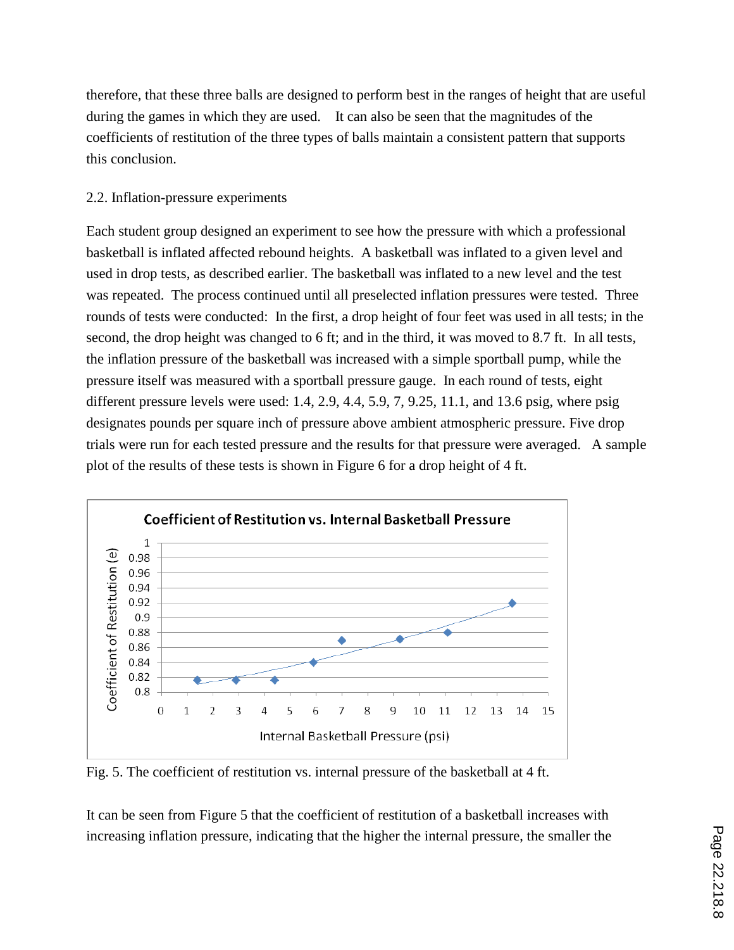therefore, that these three balls are designed to perform best in the ranges of height that are useful during the games in which they are used. It can also be seen that the magnitudes of the coefficients of restitution of the three types of balls maintain a consistent pattern that supports this conclusion.

#### 2.2. Inflation-pressure experiments

Each student group designed an experiment to see how the pressure with which a professional basketball is inflated affected rebound heights. A basketball was inflated to a given level and used in drop tests, as described earlier. The basketball was inflated to a new level and the test was repeated. The process continued until all preselected inflation pressures were tested. Three rounds of tests were conducted: In the first, a drop height of four feet was used in all tests; in the second, the drop height was changed to 6 ft; and in the third, it was moved to 8.7 ft. In all tests, the inflation pressure of the basketball was increased with a simple sportball pump, while the pressure itself was measured with a sportball pressure gauge. In each round of tests, eight different pressure levels were used: 1.4, 2.9, 4.4, 5.9, 7, 9.25, 11.1, and 13.6 psig, where psig designates pounds per square inch of pressure above ambient atmospheric pressure. Five drop trials were run for each tested pressure and the results for that pressure were averaged. A sample plot of the results of these tests is shown in Figure 6 for a drop height of 4 ft.



Fig. 5. The coefficient of restitution vs. internal pressure of the basketball at 4 ft.

It can be seen from Figure 5 that the coefficient of restitution of a basketball increases with increasing inflation pressure, indicating that the higher the internal pressure, the smaller the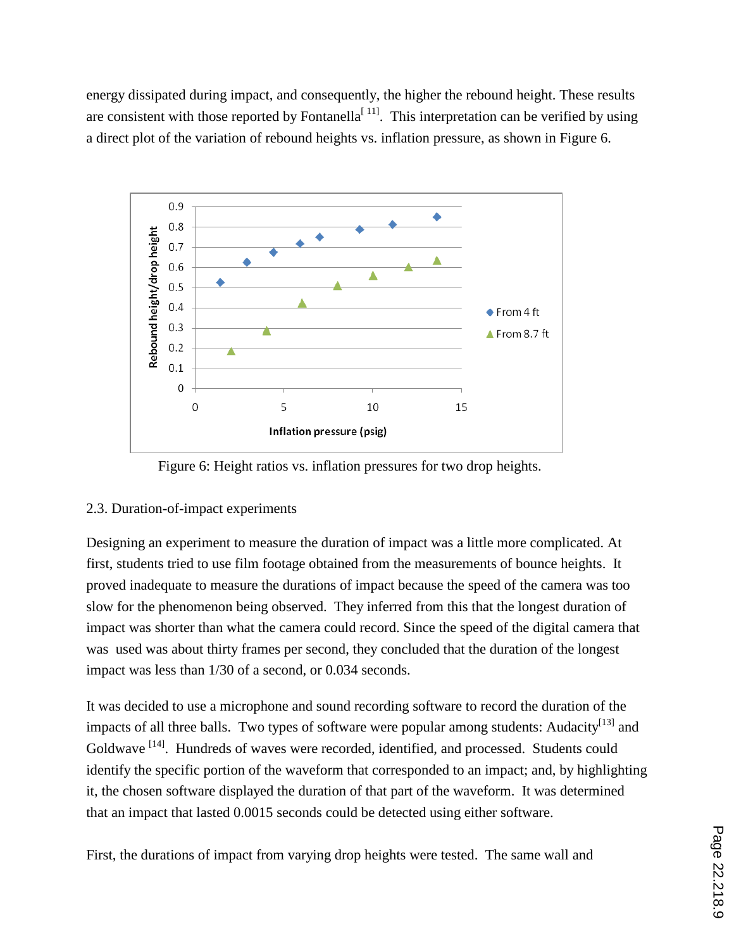energy dissipated during impact, and consequently, the higher the rebound height. These results are consistent with those reported by Fontanella<sup>[11]</sup>. This interpretation can be verified by using a direct plot of the variation of rebound heights vs. inflation pressure, as shown in Figure 6.



Figure 6: Height ratios vs. inflation pressures for two drop heights.

## 2.3. Duration-of-impact experiments

Designing an experiment to measure the duration of impact was a little more complicated. At first, students tried to use film footage obtained from the measurements of bounce heights. It proved inadequate to measure the durations of impact because the speed of the camera was too slow for the phenomenon being observed. They inferred from this that the longest duration of impact was shorter than what the camera could record. Since the speed of the digital camera that was used was about thirty frames per second, they concluded that the duration of the longest impact was less than 1/30 of a second, or 0.034 seconds.

It was decided to use a microphone and sound recording software to record the duration of the impacts of all three balls. Two types of software were popular among students: Audacity<sup>[13]</sup> and Goldwave <sup>[14]</sup>. Hundreds of waves were recorded, identified, and processed. Students could identify the specific portion of the waveform that corresponded to an impact; and, by highlighting it, the chosen software displayed the duration of that part of the waveform. It was determined that an impact that lasted 0.0015 seconds could be detected using either software.

First, the durations of impact from varying drop heights were tested. The same wall and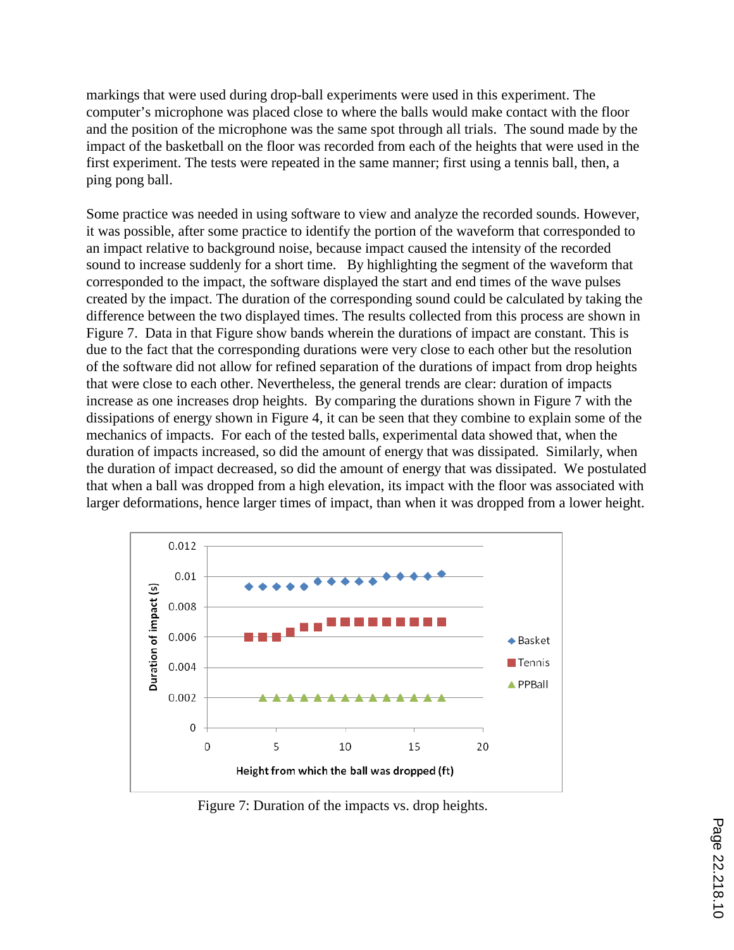markings that were used during drop-ball experiments were used in this experiment. The computer's microphone was placed close to where the balls would make contact with the floor and the position of the microphone was the same spot through all trials. The sound made by the impact of the basketball on the floor was recorded from each of the heights that were used in the first experiment. The tests were repeated in the same manner; first using a tennis ball, then, a ping pong ball.

Some practice was needed in using software to view and analyze the recorded sounds. However, it was possible, after some practice to identify the portion of the waveform that corresponded to an impact relative to background noise, because impact caused the intensity of the recorded sound to increase suddenly for a short time. By highlighting the segment of the waveform that corresponded to the impact, the software displayed the start and end times of the wave pulses created by the impact. The duration of the corresponding sound could be calculated by taking the difference between the two displayed times. The results collected from this process are shown in Figure 7. Data in that Figure show bands wherein the durations of impact are constant. This is due to the fact that the corresponding durations were very close to each other but the resolution of the software did not allow for refined separation of the durations of impact from drop heights that were close to each other. Nevertheless, the general trends are clear: duration of impacts increase as one increases drop heights. By comparing the durations shown in Figure 7 with the dissipations of energy shown in Figure 4, it can be seen that they combine to explain some of the mechanics of impacts. For each of the tested balls, experimental data showed that, when the duration of impacts increased, so did the amount of energy that was dissipated. Similarly, when the duration of impact decreased, so did the amount of energy that was dissipated. We postulated that when a ball was dropped from a high elevation, its impact with the floor was associated with larger deformations, hence larger times of impact, than when it was dropped from a lower height.



Figure 7: Duration of the impacts vs. drop heights.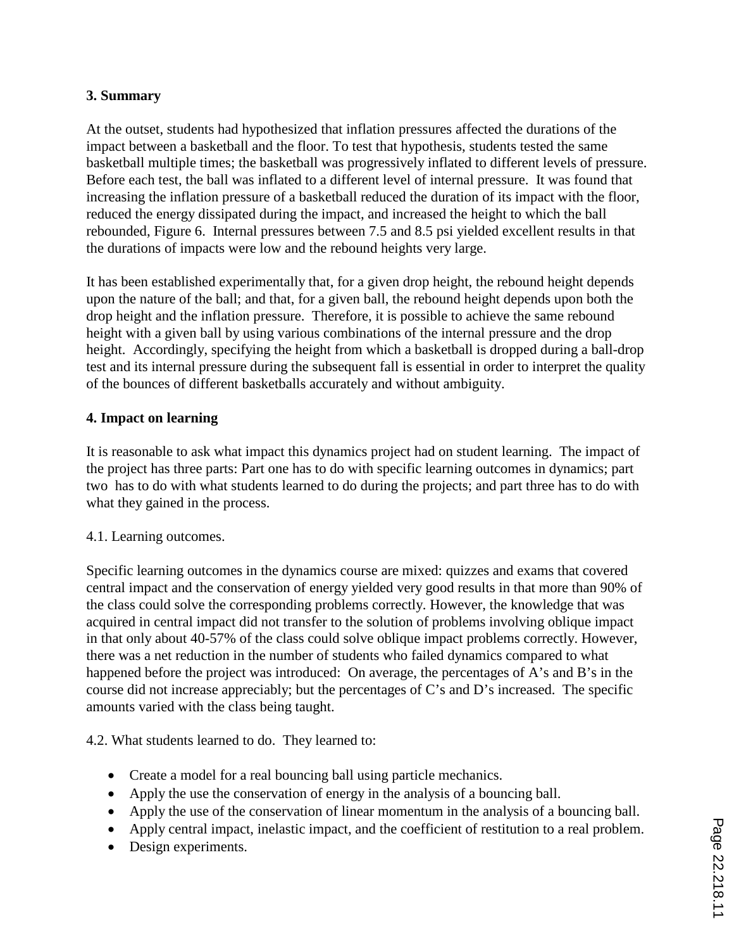## **3. Summary**

At the outset, students had hypothesized that inflation pressures affected the durations of the impact between a basketball and the floor. To test that hypothesis, students tested the same basketball multiple times; the basketball was progressively inflated to different levels of pressure. Before each test, the ball was inflated to a different level of internal pressure. It was found that increasing the inflation pressure of a basketball reduced the duration of its impact with the floor, reduced the energy dissipated during the impact, and increased the height to which the ball rebounded, Figure 6. Internal pressures between 7.5 and 8.5 psi yielded excellent results in that the durations of impacts were low and the rebound heights very large.

It has been established experimentally that, for a given drop height, the rebound height depends upon the nature of the ball; and that, for a given ball, the rebound height depends upon both the drop height and the inflation pressure. Therefore, it is possible to achieve the same rebound height with a given ball by using various combinations of the internal pressure and the drop height. Accordingly, specifying the height from which a basketball is dropped during a ball-drop test and its internal pressure during the subsequent fall is essential in order to interpret the quality of the bounces of different basketballs accurately and without ambiguity.

## **4. Impact on learning**

It is reasonable to ask what impact this dynamics project had on student learning. The impact of the project has three parts: Part one has to do with specific learning outcomes in dynamics; part two has to do with what students learned to do during the projects; and part three has to do with what they gained in the process.

#### 4.1. Learning outcomes.

Specific learning outcomes in the dynamics course are mixed: quizzes and exams that covered central impact and the conservation of energy yielded very good results in that more than 90% of the class could solve the corresponding problems correctly. However, the knowledge that was acquired in central impact did not transfer to the solution of problems involving oblique impact in that only about 40-57% of the class could solve oblique impact problems correctly. However, there was a net reduction in the number of students who failed dynamics compared to what happened before the project was introduced: On average, the percentages of A's and B's in the course did not increase appreciably; but the percentages of C's and D's increased. The specific amounts varied with the class being taught.

4.2. What students learned to do. They learned to:

- Create a model for a real bouncing ball using particle mechanics.
- Apply the use the conservation of energy in the analysis of a bouncing ball.
- Apply the use of the conservation of linear momentum in the analysis of a bouncing ball.
- Apply central impact, inelastic impact, and the coefficient of restitution to a real problem.
- Design experiments.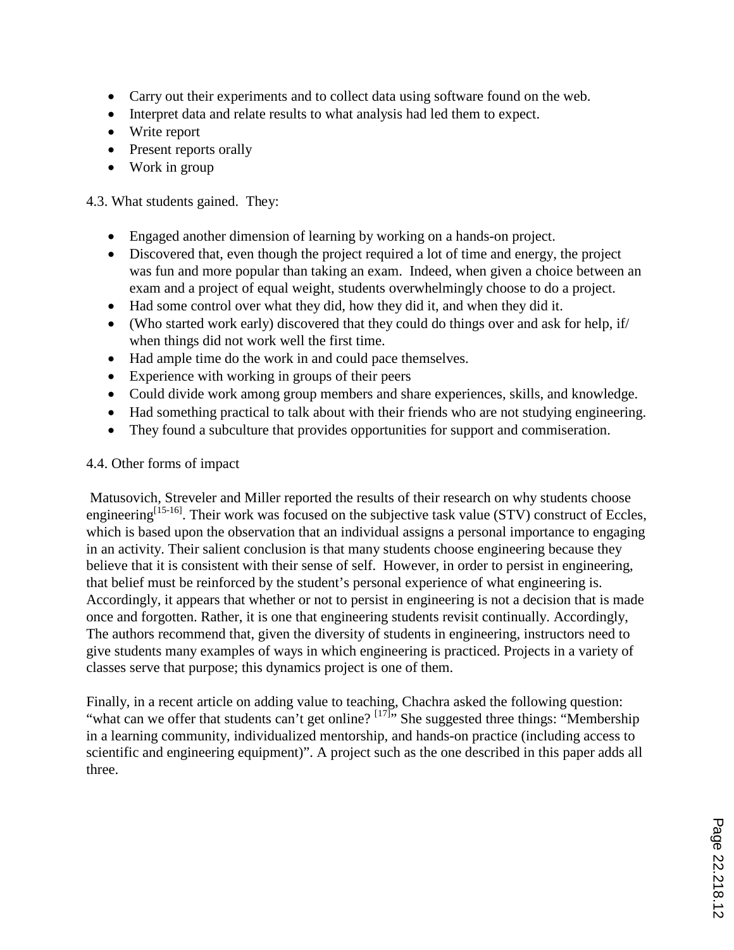- Carry out their experiments and to collect data using software found on the web.
- Interpret data and relate results to what analysis had led them to expect.
- Write report
- Present reports orally
- Work in group

4.3. What students gained. They:

- Engaged another dimension of learning by working on a hands-on project.
- Discovered that, even though the project required a lot of time and energy, the project was fun and more popular than taking an exam. Indeed, when given a choice between an exam and a project of equal weight, students overwhelmingly choose to do a project.
- Had some control over what they did, how they did it, and when they did it.
- (Who started work early) discovered that they could do things over and ask for help, if/ when things did not work well the first time.
- Had ample time do the work in and could pace themselves.
- Experience with working in groups of their peers
- Could divide work among group members and share experiences, skills, and knowledge.
- Had something practical to talk about with their friends who are not studying engineering.
- They found a subculture that provides opportunities for support and commiseration.

#### 4.4. Other forms of impact

Matusovich, Streveler and Miller reported the results of their research on why students choose engineering<sup>[15-16]</sup>. Their work was focused on the subjective task value (STV) construct of Eccles, which is based upon the observation that an individual assigns a personal importance to engaging in an activity. Their salient conclusion is that many students choose engineering because they believe that it is consistent with their sense of self. However, in order to persist in engineering, that belief must be reinforced by the student's personal experience of what engineering is. Accordingly, it appears that whether or not to persist in engineering is not a decision that is made once and forgotten. Rather, it is one that engineering students revisit continually. Accordingly, The authors recommend that, given the diversity of students in engineering, instructors need to give students many examples of ways in which engineering is practiced. Projects in a variety of classes serve that purpose; this dynamics project is one of them.

Finally, in a recent article on adding value to teaching, Chachra asked the following question: "what can we offer that students can't get online? <sup>[17]</sup>" She suggested three things: "Membership" in a learning community, individualized mentorship, and hands-on practice (including access to scientific and engineering equipment)". A project such as the one described in this paper adds all three.